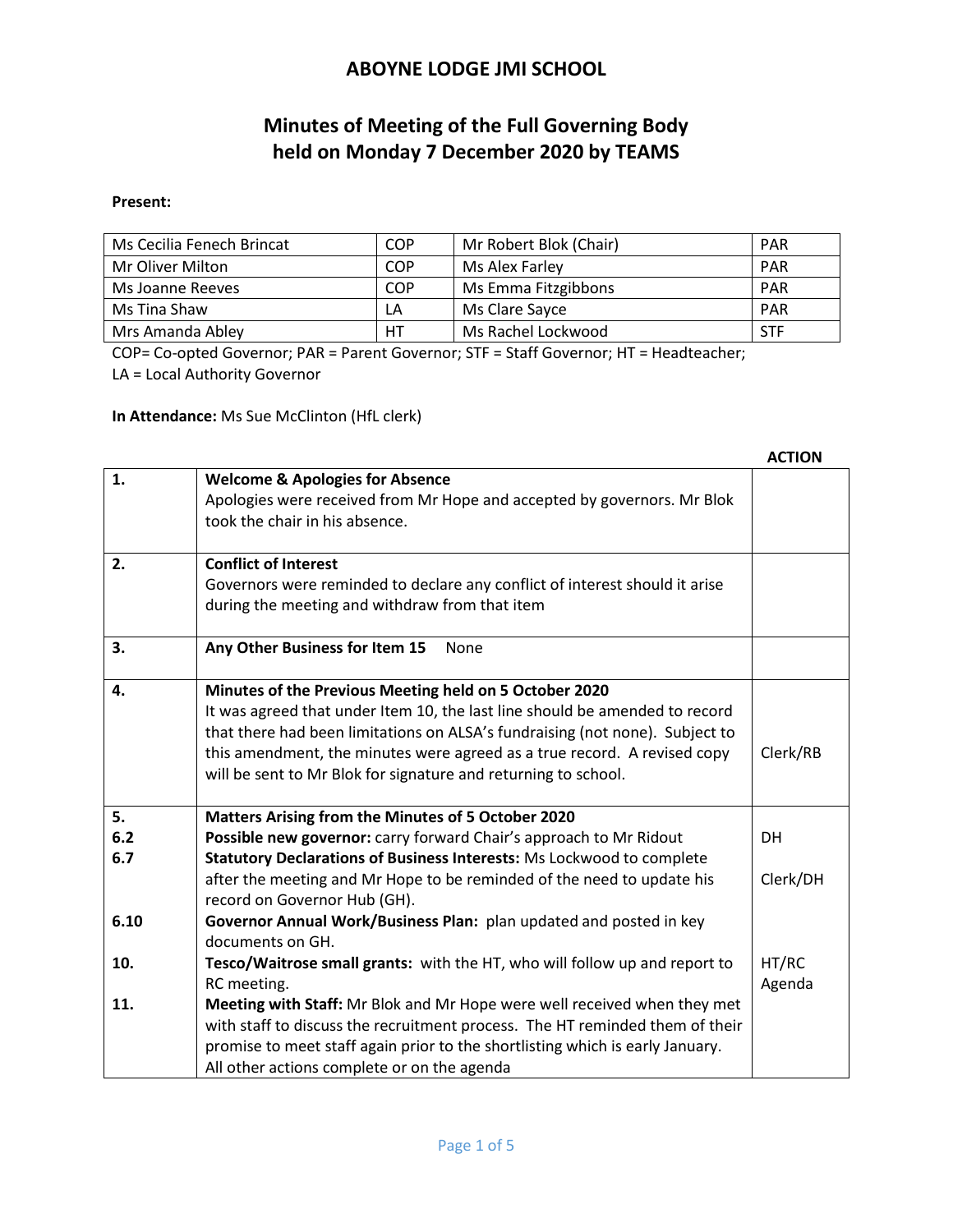# **Minutes of Meeting of the Full Governing Body held on Monday 7 December 2020 by TEAMS**

#### **Present:**

| Ms Cecilia Fenech Brincat | <b>COP</b> | Mr Robert Blok (Chair) | <b>PAR</b> |
|---------------------------|------------|------------------------|------------|
| Mr Oliver Milton          | <b>COP</b> | Ms Alex Farley         | <b>PAR</b> |
| Ms Joanne Reeves          | <b>COP</b> | Ms Emma Fitzgibbons    | PAR        |
| Ms Tina Shaw              | LA         | Ms Clare Sayce         | <b>PAR</b> |
| Mrs Amanda Abley          | HT         | Ms Rachel Lockwood     | <b>STF</b> |

COP= Co-opted Governor; PAR = Parent Governor; STF = Staff Governor; HT = Headteacher; LA = Local Authority Governor

**In Attendance:** Ms Sue McClinton (HfL clerk)

|      |                                                                                                           | <b>ACTION</b> |
|------|-----------------------------------------------------------------------------------------------------------|---------------|
| 1.   | <b>Welcome &amp; Apologies for Absence</b>                                                                |               |
|      | Apologies were received from Mr Hope and accepted by governors. Mr Blok<br>took the chair in his absence. |               |
|      |                                                                                                           |               |
| 2.   | <b>Conflict of Interest</b>                                                                               |               |
|      | Governors were reminded to declare any conflict of interest should it arise                               |               |
|      | during the meeting and withdraw from that item                                                            |               |
| 3.   | Any Other Business for Item 15<br>None                                                                    |               |
| 4.   | Minutes of the Previous Meeting held on 5 October 2020                                                    |               |
|      | It was agreed that under Item 10, the last line should be amended to record                               |               |
|      | that there had been limitations on ALSA's fundraising (not none). Subject to                              |               |
|      | this amendment, the minutes were agreed as a true record. A revised copy                                  | Clerk/RB      |
|      | will be sent to Mr Blok for signature and returning to school.                                            |               |
| 5.   | Matters Arising from the Minutes of 5 October 2020                                                        |               |
| 6.2  | Possible new governor: carry forward Chair's approach to Mr Ridout                                        | <b>DH</b>     |
| 6.7  | Statutory Declarations of Business Interests: Ms Lockwood to complete                                     |               |
|      | after the meeting and Mr Hope to be reminded of the need to update his                                    | Clerk/DH      |
|      | record on Governor Hub (GH).                                                                              |               |
| 6.10 | Governor Annual Work/Business Plan: plan updated and posted in key                                        |               |
|      | documents on GH.                                                                                          |               |
| 10.  | Tesco/Waitrose small grants: with the HT, who will follow up and report to                                | HT/RC         |
|      | RC meeting.                                                                                               | Agenda        |
| 11.  | Meeting with Staff: Mr Blok and Mr Hope were well received when they met                                  |               |
|      | with staff to discuss the recruitment process. The HT reminded them of their                              |               |
|      | promise to meet staff again prior to the shortlisting which is early January.                             |               |
|      | All other actions complete or on the agenda                                                               |               |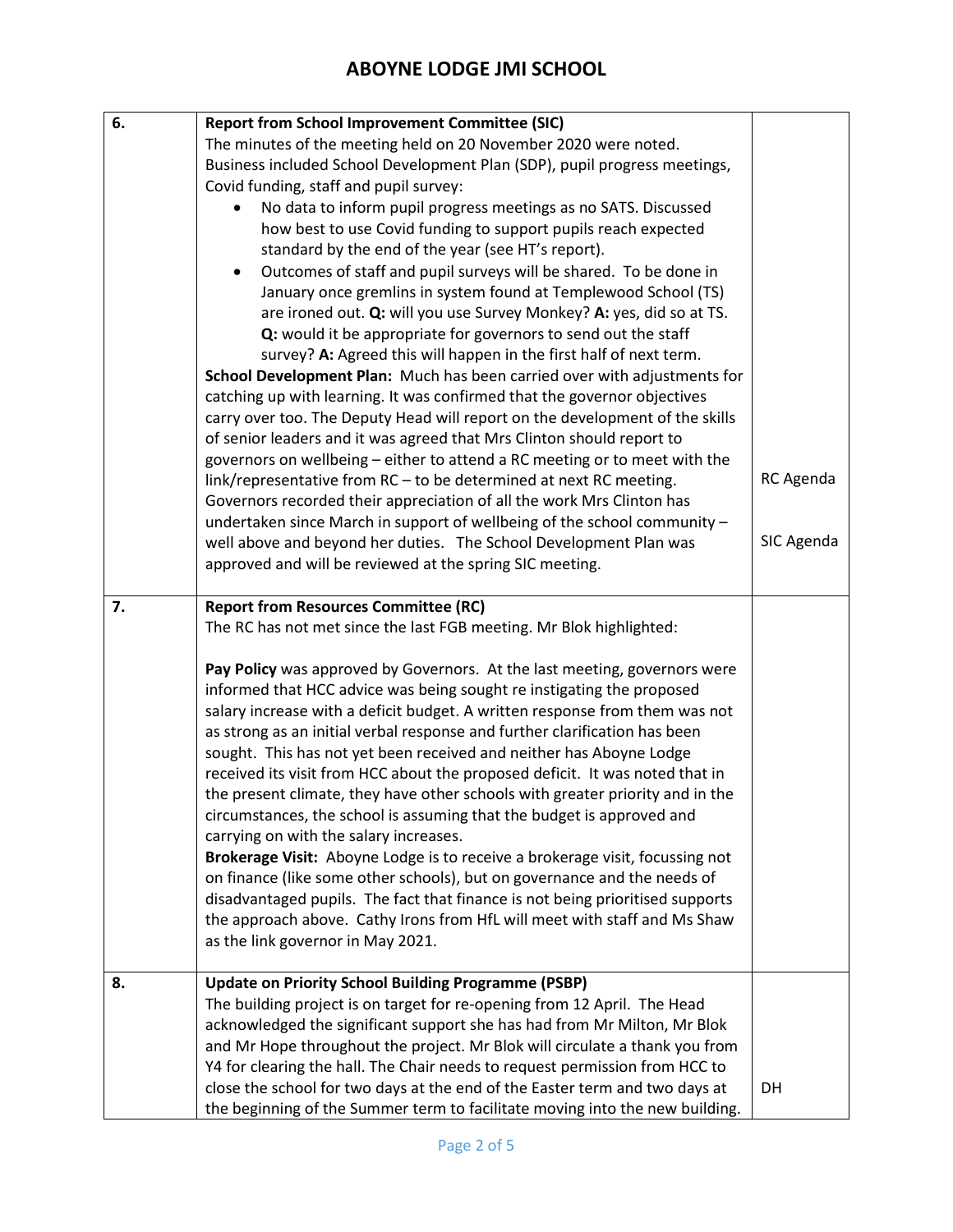| 6. | <b>Report from School Improvement Committee (SIC)</b>                         |            |
|----|-------------------------------------------------------------------------------|------------|
|    | The minutes of the meeting held on 20 November 2020 were noted.               |            |
|    | Business included School Development Plan (SDP), pupil progress meetings,     |            |
|    | Covid funding, staff and pupil survey:                                        |            |
|    | No data to inform pupil progress meetings as no SATS. Discussed               |            |
|    | how best to use Covid funding to support pupils reach expected                |            |
|    | standard by the end of the year (see HT's report).                            |            |
|    | Outcomes of staff and pupil surveys will be shared. To be done in             |            |
|    | January once gremlins in system found at Templewood School (TS)               |            |
|    | are ironed out. Q: will you use Survey Monkey? A: yes, did so at TS.          |            |
|    | Q: would it be appropriate for governors to send out the staff                |            |
|    | survey? A: Agreed this will happen in the first half of next term.            |            |
|    | School Development Plan: Much has been carried over with adjustments for      |            |
|    | catching up with learning. It was confirmed that the governor objectives      |            |
|    | carry over too. The Deputy Head will report on the development of the skills  |            |
|    | of senior leaders and it was agreed that Mrs Clinton should report to         |            |
|    | governors on wellbeing - either to attend a RC meeting or to meet with the    |            |
|    | link/representative from RC - to be determined at next RC meeting.            | RC Agenda  |
|    | Governors recorded their appreciation of all the work Mrs Clinton has         |            |
|    | undertaken since March in support of wellbeing of the school community -      |            |
|    | well above and beyond her duties. The School Development Plan was             | SIC Agenda |
|    | approved and will be reviewed at the spring SIC meeting.                      |            |
| 7. | <b>Report from Resources Committee (RC)</b>                                   |            |
|    | The RC has not met since the last FGB meeting. Mr Blok highlighted:           |            |
|    |                                                                               |            |
|    | Pay Policy was approved by Governors. At the last meeting, governors were     |            |
|    | informed that HCC advice was being sought re instigating the proposed         |            |
|    | salary increase with a deficit budget. A written response from them was not   |            |
|    | as strong as an initial verbal response and further clarification has been    |            |
|    | sought. This has not yet been received and neither has Aboyne Lodge           |            |
|    | received its visit from HCC about the proposed deficit. It was noted that in  |            |
|    | the present climate, they have other schools with greater priority and in the |            |
|    | circumstances, the school is assuming that the budget is approved and         |            |
|    | carrying on with the salary increases.                                        |            |
|    | Brokerage Visit: Aboyne Lodge is to receive a brokerage visit, focussing not  |            |
|    | on finance (like some other schools), but on governance and the needs of      |            |
|    | disadvantaged pupils. The fact that finance is not being prioritised supports |            |
|    | the approach above. Cathy Irons from HfL will meet with staff and Ms Shaw     |            |
|    | as the link governor in May 2021.                                             |            |
| 8. | <b>Update on Priority School Building Programme (PSBP)</b>                    |            |
|    | The building project is on target for re-opening from 12 April. The Head      |            |
|    | acknowledged the significant support she has had from Mr Milton, Mr Blok      |            |
|    | and Mr Hope throughout the project. Mr Blok will circulate a thank you from   |            |
|    | Y4 for clearing the hall. The Chair needs to request permission from HCC to   |            |
|    | close the school for two days at the end of the Easter term and two days at   | DH         |
|    | the beginning of the Summer term to facilitate moving into the new building.  |            |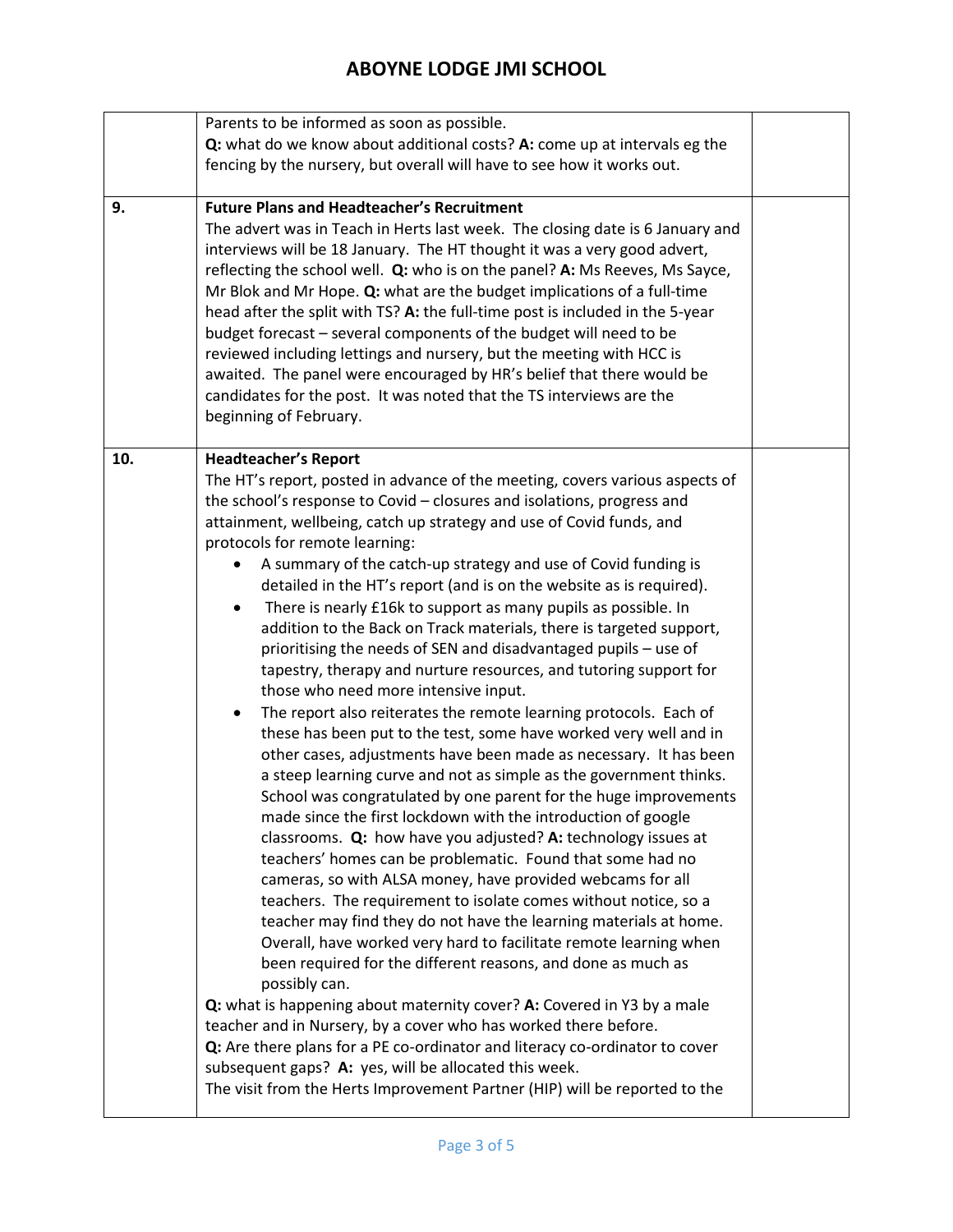|     | Parents to be informed as soon as possible.                                                                                                                                                                                                                                                                                                                                                                                                                                                                                                                                                                                                                                                                                                                                                                                                                                                                                                                                                                                                                                                                                                                                                                                                                                                                                                                                                                                                                                                                                                                                                                                                                                                                                                                                                                                                                                                                                                                                                                                                                                 |  |
|-----|-----------------------------------------------------------------------------------------------------------------------------------------------------------------------------------------------------------------------------------------------------------------------------------------------------------------------------------------------------------------------------------------------------------------------------------------------------------------------------------------------------------------------------------------------------------------------------------------------------------------------------------------------------------------------------------------------------------------------------------------------------------------------------------------------------------------------------------------------------------------------------------------------------------------------------------------------------------------------------------------------------------------------------------------------------------------------------------------------------------------------------------------------------------------------------------------------------------------------------------------------------------------------------------------------------------------------------------------------------------------------------------------------------------------------------------------------------------------------------------------------------------------------------------------------------------------------------------------------------------------------------------------------------------------------------------------------------------------------------------------------------------------------------------------------------------------------------------------------------------------------------------------------------------------------------------------------------------------------------------------------------------------------------------------------------------------------------|--|
|     | Q: what do we know about additional costs? A: come up at intervals eg the                                                                                                                                                                                                                                                                                                                                                                                                                                                                                                                                                                                                                                                                                                                                                                                                                                                                                                                                                                                                                                                                                                                                                                                                                                                                                                                                                                                                                                                                                                                                                                                                                                                                                                                                                                                                                                                                                                                                                                                                   |  |
|     | fencing by the nursery, but overall will have to see how it works out.                                                                                                                                                                                                                                                                                                                                                                                                                                                                                                                                                                                                                                                                                                                                                                                                                                                                                                                                                                                                                                                                                                                                                                                                                                                                                                                                                                                                                                                                                                                                                                                                                                                                                                                                                                                                                                                                                                                                                                                                      |  |
|     |                                                                                                                                                                                                                                                                                                                                                                                                                                                                                                                                                                                                                                                                                                                                                                                                                                                                                                                                                                                                                                                                                                                                                                                                                                                                                                                                                                                                                                                                                                                                                                                                                                                                                                                                                                                                                                                                                                                                                                                                                                                                             |  |
| 9.  | <b>Future Plans and Headteacher's Recruitment</b><br>The advert was in Teach in Herts last week. The closing date is 6 January and<br>interviews will be 18 January. The HT thought it was a very good advert,<br>reflecting the school well. Q: who is on the panel? A: Ms Reeves, Ms Sayce,<br>Mr Blok and Mr Hope. Q: what are the budget implications of a full-time<br>head after the split with TS? A: the full-time post is included in the 5-year<br>budget forecast - several components of the budget will need to be<br>reviewed including lettings and nursery, but the meeting with HCC is<br>awaited. The panel were encouraged by HR's belief that there would be<br>candidates for the post. It was noted that the TS interviews are the<br>beginning of February.                                                                                                                                                                                                                                                                                                                                                                                                                                                                                                                                                                                                                                                                                                                                                                                                                                                                                                                                                                                                                                                                                                                                                                                                                                                                                          |  |
| 10. | <b>Headteacher's Report</b><br>The HT's report, posted in advance of the meeting, covers various aspects of<br>the school's response to Covid - closures and isolations, progress and<br>attainment, wellbeing, catch up strategy and use of Covid funds, and<br>protocols for remote learning:<br>A summary of the catch-up strategy and use of Covid funding is<br>detailed in the HT's report (and is on the website as is required).<br>There is nearly £16k to support as many pupils as possible. In<br>٠<br>addition to the Back on Track materials, there is targeted support,<br>prioritising the needs of SEN and disadvantaged pupils - use of<br>tapestry, therapy and nurture resources, and tutoring support for<br>those who need more intensive input.<br>The report also reiterates the remote learning protocols. Each of<br>$\bullet$<br>these has been put to the test, some have worked very well and in<br>other cases, adjustments have been made as necessary. It has been<br>a steep learning curve and not as simple as the government thinks.<br>School was congratulated by one parent for the huge improvements<br>made since the first lockdown with the introduction of google<br>classrooms. Q: how have you adjusted? A: technology issues at<br>teachers' homes can be problematic. Found that some had no<br>cameras, so with ALSA money, have provided webcams for all<br>teachers. The requirement to isolate comes without notice, so a<br>teacher may find they do not have the learning materials at home.<br>Overall, have worked very hard to facilitate remote learning when<br>been required for the different reasons, and done as much as<br>possibly can.<br>Q: what is happening about maternity cover? A: Covered in Y3 by a male<br>teacher and in Nursery, by a cover who has worked there before.<br>Q: Are there plans for a PE co-ordinator and literacy co-ordinator to cover<br>subsequent gaps? A: yes, will be allocated this week.<br>The visit from the Herts Improvement Partner (HIP) will be reported to the |  |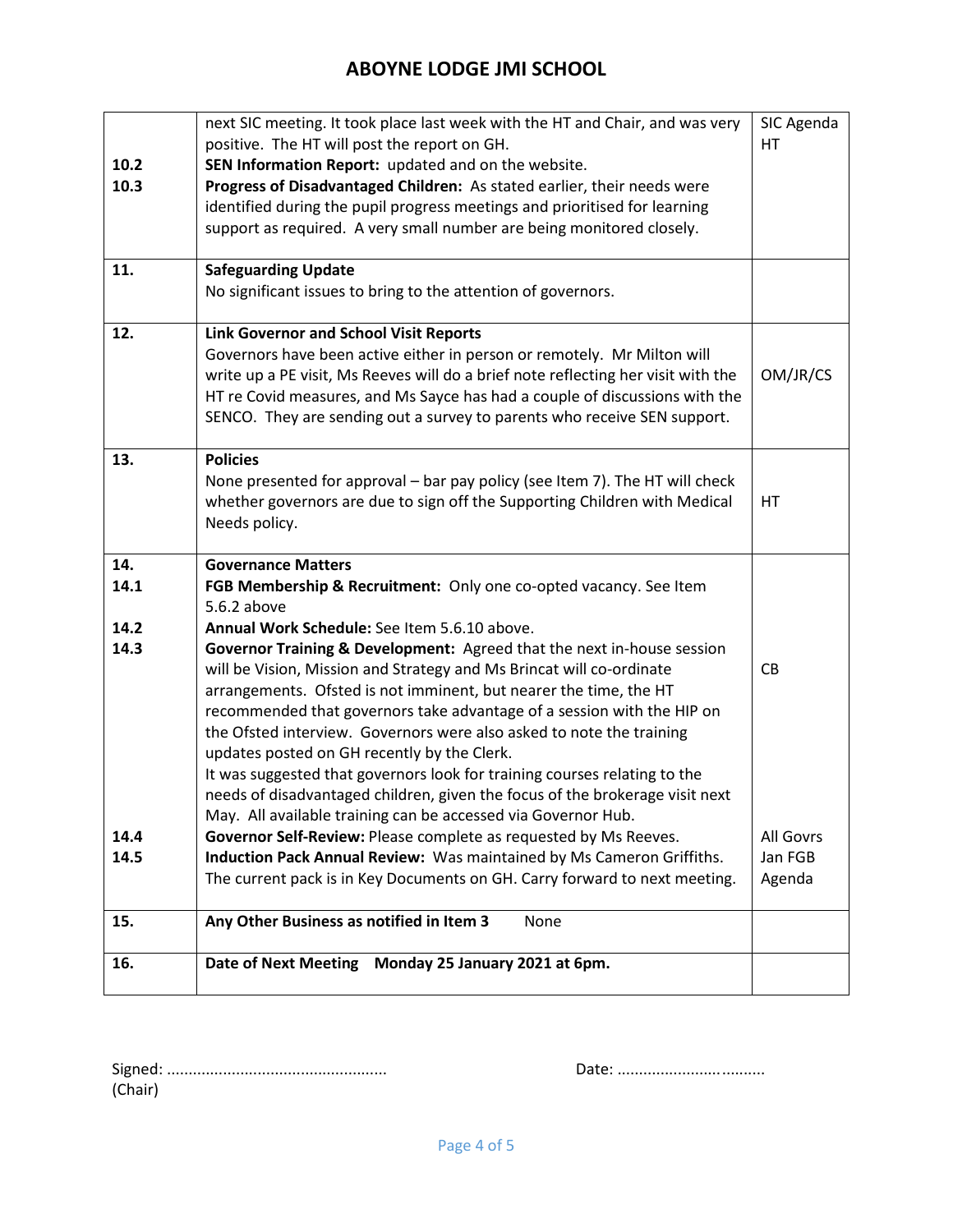| 10.2<br>10.3         | next SIC meeting. It took place last week with the HT and Chair, and was very<br>positive. The HT will post the report on GH.<br>SEN Information Report: updated and on the website.<br>Progress of Disadvantaged Children: As stated earlier, their needs were<br>identified during the pupil progress meetings and prioritised for learning<br>support as required. A very small number are being monitored closely.                                                                                                                                                                                                                                                                                                                                                 | SIC Agenda<br>HT  |
|----------------------|------------------------------------------------------------------------------------------------------------------------------------------------------------------------------------------------------------------------------------------------------------------------------------------------------------------------------------------------------------------------------------------------------------------------------------------------------------------------------------------------------------------------------------------------------------------------------------------------------------------------------------------------------------------------------------------------------------------------------------------------------------------------|-------------------|
| 11.                  | <b>Safeguarding Update</b><br>No significant issues to bring to the attention of governors.                                                                                                                                                                                                                                                                                                                                                                                                                                                                                                                                                                                                                                                                            |                   |
| 12.                  | <b>Link Governor and School Visit Reports</b>                                                                                                                                                                                                                                                                                                                                                                                                                                                                                                                                                                                                                                                                                                                          |                   |
|                      | Governors have been active either in person or remotely. Mr Milton will<br>write up a PE visit, Ms Reeves will do a brief note reflecting her visit with the<br>HT re Covid measures, and Ms Sayce has had a couple of discussions with the<br>SENCO. They are sending out a survey to parents who receive SEN support.                                                                                                                                                                                                                                                                                                                                                                                                                                                | OM/JR/CS          |
| 13.                  | <b>Policies</b><br>None presented for approval - bar pay policy (see Item 7). The HT will check<br>whether governors are due to sign off the Supporting Children with Medical<br>Needs policy.                                                                                                                                                                                                                                                                                                                                                                                                                                                                                                                                                                         | HT                |
| 14.                  | <b>Governance Matters</b>                                                                                                                                                                                                                                                                                                                                                                                                                                                                                                                                                                                                                                                                                                                                              |                   |
| 14.1                 | FGB Membership & Recruitment: Only one co-opted vacancy. See Item                                                                                                                                                                                                                                                                                                                                                                                                                                                                                                                                                                                                                                                                                                      |                   |
|                      | 5.6.2 above                                                                                                                                                                                                                                                                                                                                                                                                                                                                                                                                                                                                                                                                                                                                                            |                   |
| 14.2<br>14.3<br>14.4 | Annual Work Schedule: See Item 5.6.10 above.<br>Governor Training & Development: Agreed that the next in-house session<br>will be Vision, Mission and Strategy and Ms Brincat will co-ordinate<br>arrangements. Ofsted is not imminent, but nearer the time, the HT<br>recommended that governors take advantage of a session with the HIP on<br>the Ofsted interview. Governors were also asked to note the training<br>updates posted on GH recently by the Clerk.<br>It was suggested that governors look for training courses relating to the<br>needs of disadvantaged children, given the focus of the brokerage visit next<br>May. All available training can be accessed via Governor Hub.<br>Governor Self-Review: Please complete as requested by Ms Reeves. | CB<br>All Govrs   |
| 14.5                 | Induction Pack Annual Review: Was maintained by Ms Cameron Griffiths.<br>The current pack is in Key Documents on GH. Carry forward to next meeting.                                                                                                                                                                                                                                                                                                                                                                                                                                                                                                                                                                                                                    | Jan FGB<br>Agenda |
| 15.                  | Any Other Business as notified in Item 3<br>None                                                                                                                                                                                                                                                                                                                                                                                                                                                                                                                                                                                                                                                                                                                       |                   |
| 16.                  | <b>Date of Next Meeting</b><br>Monday 25 January 2021 at 6pm.                                                                                                                                                                                                                                                                                                                                                                                                                                                                                                                                                                                                                                                                                                          |                   |

Signed: ................................................... Date: .................................. (Chair)